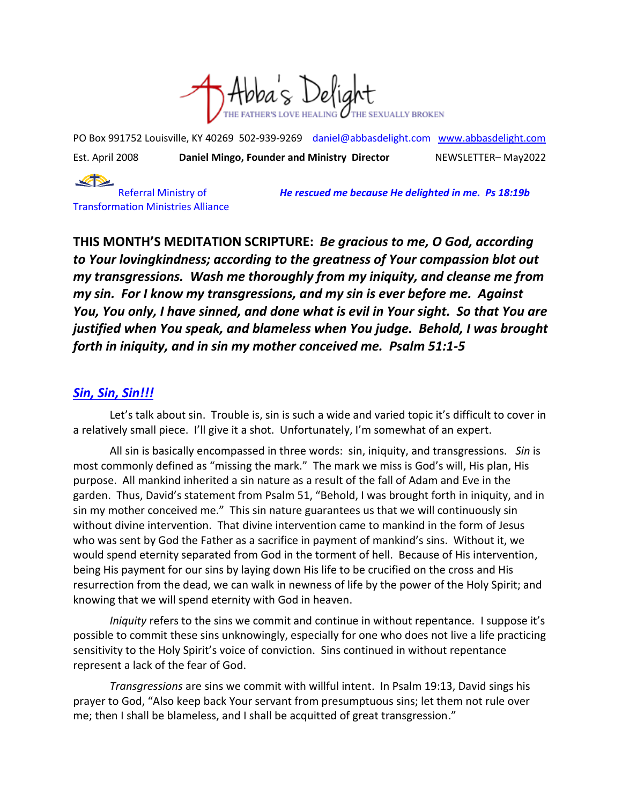

PO Box 991752 Louisville, KY 40269 502-939-9269 [daniel@abbasdelight.com](mailto:daniel@abbasdelight.com) [www.abbasdelight.com](http://www.abbasdelight.com/) Est. April 2008 **Daniel Mingo, Founder and Ministry Director** NEWSLETTER– May2022

 $\clubsuit$ Transformation Ministries Alliance

Referral Ministry of *He rescued me because He delighted in me. Ps 18:19b*

**THIS MONTH'S MEDITATION SCRIPTURE:** *Be gracious to me, O God, according to Your lovingkindness; according to the greatness of Your compassion blot out my transgressions. Wash me thoroughly from my iniquity, and cleanse me from my sin. For I know my transgressions, and my sin is ever before me. Against You, You only, I have sinned, and done what is evil in Your sight. So that You are justified when You speak, and blameless when You judge. Behold, I was brought forth in iniquity, and in sin my mother conceived me. Psalm 51:1-5*

## *Sin, Sin, Sin!!!*

Let's talk about sin. Trouble is, sin is such a wide and varied topic it's difficult to cover in a relatively small piece. I'll give it a shot. Unfortunately, I'm somewhat of an expert.

All sin is basically encompassed in three words: sin, iniquity, and transgressions. *Sin* is most commonly defined as "missing the mark." The mark we miss is God's will, His plan, His purpose. All mankind inherited a sin nature as a result of the fall of Adam and Eve in the garden. Thus, David's statement from Psalm 51, "Behold, I was brought forth in iniquity, and in sin my mother conceived me." This sin nature guarantees us that we will continuously sin without divine intervention. That divine intervention came to mankind in the form of Jesus who was sent by God the Father as a sacrifice in payment of mankind's sins. Without it, we would spend eternity separated from God in the torment of hell. Because of His intervention, being His payment for our sins by laying down His life to be crucified on the cross and His resurrection from the dead, we can walk in newness of life by the power of the Holy Spirit; and knowing that we will spend eternity with God in heaven.

*Iniquity* refers to the sins we commit and continue in without repentance. I suppose it's possible to commit these sins unknowingly, especially for one who does not live a life practicing sensitivity to the Holy Spirit's voice of conviction. Sins continued in without repentance represent a lack of the fear of God.

*Transgressions* are sins we commit with willful intent. In Psalm 19:13, David sings his prayer to God, "Also keep back Your servant from presumptuous sins; let them not rule over me; then I shall be blameless, and I shall be acquitted of great transgression."